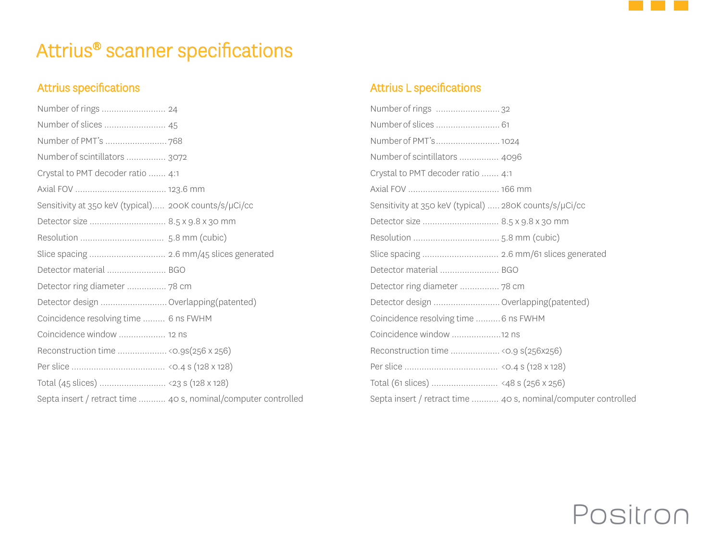

## Attrius® scanner specifications

## Attrius specifications

| Number of slices  45                                  |                                                                |
|-------------------------------------------------------|----------------------------------------------------------------|
|                                                       |                                                                |
| Number of scintillators  3072                         |                                                                |
| Crystal to PMT decoder ratio  4:1                     |                                                                |
|                                                       |                                                                |
| Sensitivity at 350 keV (typical) 200K counts/s/µCi/cc |                                                                |
| Detector size  8.5 x 9.8 x 30 mm                      |                                                                |
|                                                       |                                                                |
|                                                       |                                                                |
| Detector material  BGO                                |                                                                |
| Detector ring diameter  78 cm                         |                                                                |
| Detector design  Overlapping(patented)                |                                                                |
| Coincidence resolving time  6 ns FWHM                 |                                                                |
| Coincidence window  12 ns                             |                                                                |
|                                                       |                                                                |
|                                                       |                                                                |
|                                                       |                                                                |
|                                                       | Septa insert / retract time  40 s, nominal/computer controlled |

### Attrius L specifications

| Number of rings 32                                     |                                                                |
|--------------------------------------------------------|----------------------------------------------------------------|
| Number of slices  61                                   |                                                                |
| Number of PMT's 1024                                   |                                                                |
| Number of scintillators  4096                          |                                                                |
| Crystal to PMT decoder ratio  4:1                      |                                                                |
|                                                        |                                                                |
| Sensitivity at 350 keV (typical)  280K counts/s/µCi/cc |                                                                |
|                                                        |                                                                |
|                                                        |                                                                |
|                                                        |                                                                |
| Detector material  BGO                                 |                                                                |
|                                                        |                                                                |
| Detector design  Overlapping(patented)                 |                                                                |
| Coincidence resolving time  6 ns FWHM                  |                                                                |
|                                                        |                                                                |
| Reconstruction time < 0.9 s(256x256)                   |                                                                |
|                                                        |                                                                |
|                                                        |                                                                |
|                                                        | Septa insert / retract time  40 s, nominal/computer controlled |
|                                                        |                                                                |

# Positron